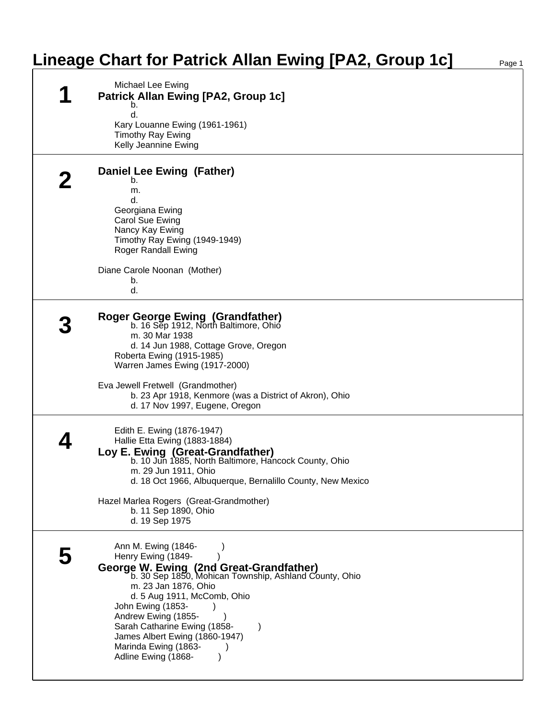## **Lineage Chart for Patrick Allan Ewing [PA2, Group 1c]**

| Michael Lee Ewing<br><b>Patrick Allan Ewing [PA2, Group 1c]</b>                                                                                                                                                                                                                                                                                                    |
|--------------------------------------------------------------------------------------------------------------------------------------------------------------------------------------------------------------------------------------------------------------------------------------------------------------------------------------------------------------------|
| b.<br>d.<br>Kary Louanne Ewing (1961-1961)<br><b>Timothy Ray Ewing</b><br>Kelly Jeannine Ewing                                                                                                                                                                                                                                                                     |
| Daniel Lee Ewing (Father)<br>b.<br>m.<br>d.<br>Georgiana Ewing<br>Carol Sue Ewing<br>Nancy Kay Ewing<br>Timothy Ray Ewing (1949-1949)<br>Roger Randall Ewing<br>Diane Carole Noonan (Mother)<br>b.<br>d.                                                                                                                                                           |
| <b>Roger George Ewing (Grandfather)</b><br>b. 16 Sep 1912, North Baltimore, Ohio<br>m. 30 Mar 1938<br>d. 14 Jun 1988, Cottage Grove, Oregon<br>Roberta Ewing (1915-1985)<br>Warren James Ewing (1917-2000)<br>Eva Jewell Fretwell (Grandmother)<br>b. 23 Apr 1918, Kenmore (was a District of Akron), Ohio<br>d. 17 Nov 1997, Eugene, Oregon                       |
| Edith E. Ewing (1876-1947)<br>Hallie Etta Ewing (1883-1884)<br>Loy E. Ewing (Great-Grandfather)<br>b. 10 Jun 1885, North Baltimore, Hancock County, Ohio<br>m. 29 Jun 1911, Ohio<br>d. 18 Oct 1966, Albuquerque, Bernalillo County, New Mexico<br>Hazel Marlea Rogers (Great-Grandmother)<br>b. 11 Sep 1890, Ohio<br>d. 19 Sep 1975                                |
| Ann M. Ewing (1846-<br>Henry Ewing (1849-<br>George W. Ewing (2nd Great-Grandfather)<br>b. 30 Sep 1850, Mohican Township, Ashland County, Ohio<br>m. 23 Jan 1876, Ohio<br>d. 5 Aug 1911, McComb, Ohio<br>John Ewing (1853-<br>Andrew Ewing (1855-<br>Sarah Catharine Ewing (1858-<br>James Albert Ewing (1860-1947)<br>Marinda Ewing (1863-<br>Adline Ewing (1868- |